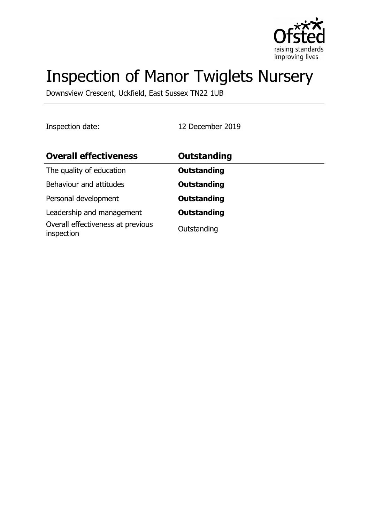

# Inspection of Manor Twiglets Nursery

Downsview Crescent, Uckfield, East Sussex TN22 1UB

Inspection date: 12 December 2019

| <b>Overall effectiveness</b>                    | Outstanding        |
|-------------------------------------------------|--------------------|
| The quality of education                        | <b>Outstanding</b> |
| Behaviour and attitudes                         | <b>Outstanding</b> |
| Personal development                            | <b>Outstanding</b> |
| Leadership and management                       | <b>Outstanding</b> |
| Overall effectiveness at previous<br>inspection | Outstanding        |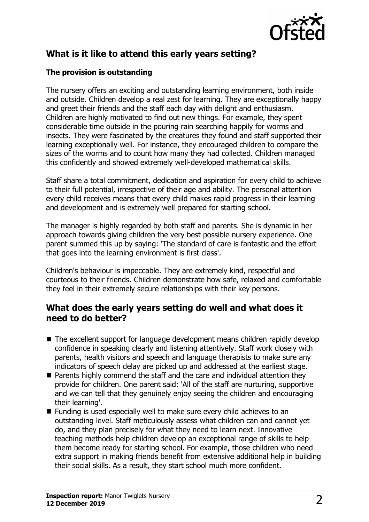

# **What is it like to attend this early years setting?**

#### **The provision is outstanding**

The nursery offers an exciting and outstanding learning environment, both inside and outside. Children develop a real zest for learning. They are exceptionally happy and greet their friends and the staff each day with delight and enthusiasm. Children are highly motivated to find out new things. For example, they spent considerable time outside in the pouring rain searching happily for worms and insects. They were fascinated by the creatures they found and staff supported their learning exceptionally well. For instance, they encouraged children to compare the sizes of the worms and to count how many they had collected. Children managed this confidently and showed extremely well-developed mathematical skills.

Staff share a total commitment, dedication and aspiration for every child to achieve to their full potential, irrespective of their age and ability. The personal attention every child receives means that every child makes rapid progress in their learning and development and is extremely well prepared for starting school.

The manager is highly regarded by both staff and parents. She is dynamic in her approach towards giving children the very best possible nursery experience. One parent summed this up by saying: 'The standard of care is fantastic and the effort that goes into the learning environment is first class'.

Children's behaviour is impeccable. They are extremely kind, respectful and courteous to their friends. Children demonstrate how safe, relaxed and comfortable they feel in their extremely secure relationships with their key persons.

## **What does the early years setting do well and what does it need to do better?**

- $\blacksquare$  The excellent support for language development means children rapidly develop confidence in speaking clearly and listening attentively. Staff work closely with parents, health visitors and speech and language therapists to make sure any indicators of speech delay are picked up and addressed at the earliest stage.
- $\blacksquare$  Parents highly commend the staff and the care and individual attention they provide for children. One parent said: 'All of the staff are nurturing, supportive and we can tell that they genuinely enjoy seeing the children and encouraging their learning'.
- $\blacksquare$  Funding is used especially well to make sure every child achieves to an outstanding level. Staff meticulously assess what children can and cannot yet do, and they plan precisely for what they need to learn next. Innovative teaching methods help children develop an exceptional range of skills to help them become ready for starting school. For example, those children who need extra support in making friends benefit from extensive additional help in building their social skills. As a result, they start school much more confident.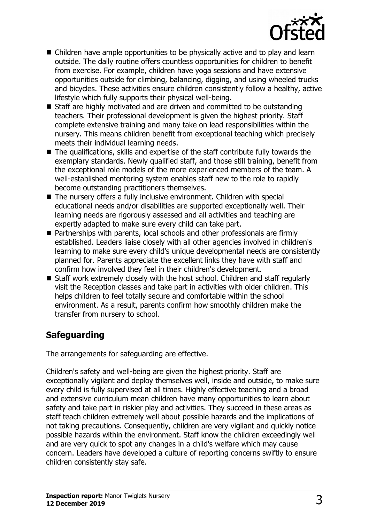

- $\blacksquare$  Children have ample opportunities to be physically active and to play and learn outside. The daily routine offers countless opportunities for children to benefit from exercise. For example, children have yoga sessions and have extensive opportunities outside for climbing, balancing, digging, and using wheeled trucks and bicycles. These activities ensure children consistently follow a healthy, active lifestyle which fully supports their physical well-being.
- $\blacksquare$  Staff are highly motivated and are driven and committed to be outstanding teachers. Their professional development is given the highest priority. Staff complete extensive training and many take on lead responsibilities within the nursery. This means children benefit from exceptional teaching which precisely meets their individual learning needs.
- $\blacksquare$  The qualifications, skills and expertise of the staff contribute fully towards the exemplary standards. Newly qualified staff, and those still training, benefit from the exceptional role models of the more experienced members of the team. A well-established mentoring system enables staff new to the role to rapidly become outstanding practitioners themselves.
- $\blacksquare$  The nursery offers a fully inclusive environment. Children with special educational needs and/or disabilities are supported exceptionally well. Their learning needs are rigorously assessed and all activities and teaching are expertly adapted to make sure every child can take part.
- Partnerships with parents, local schools and other professionals are firmly established. Leaders liaise closely with all other agencies involved in children's learning to make sure every child's unique developmental needs are consistently planned for. Parents appreciate the excellent links they have with staff and confirm how involved they feel in their children's development.
- $\blacksquare$  Staff work extremely closely with the host school. Children and staff regularly visit the Reception classes and take part in activities with older children. This helps children to feel totally secure and comfortable within the school environment. As a result, parents confirm how smoothly children make the transfer from nursery to school.

# **Safeguarding**

The arrangements for safeguarding are effective.

Children's safety and well-being are given the highest priority. Staff are exceptionally vigilant and deploy themselves well, inside and outside, to make sure every child is fully supervised at all times. Highly effective teaching and a broad and extensive curriculum mean children have many opportunities to learn about safety and take part in riskier play and activities. They succeed in these areas as staff teach children extremely well about possible hazards and the implications of not taking precautions. Consequently, children are very vigilant and quickly notice possible hazards within the environment. Staff know the children exceedingly well and are very quick to spot any changes in a child's welfare which may cause concern. Leaders have developed a culture of reporting concerns swiftly to ensure children consistently stay safe.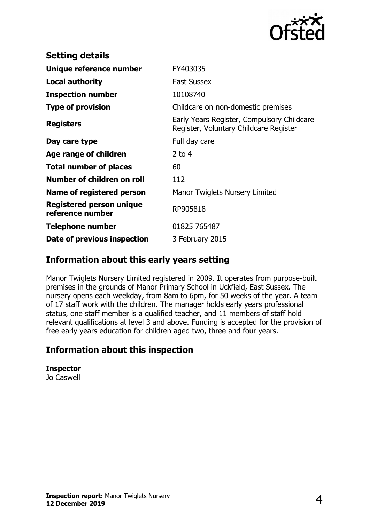

| <b>Setting details</b>                              |                                                                                      |
|-----------------------------------------------------|--------------------------------------------------------------------------------------|
| Unique reference number                             | EY403035                                                                             |
| Local authority                                     | <b>East Sussex</b>                                                                   |
| <b>Inspection number</b>                            | 10108740                                                                             |
| <b>Type of provision</b>                            | Childcare on non-domestic premises                                                   |
| <b>Registers</b>                                    | Early Years Register, Compulsory Childcare<br>Register, Voluntary Childcare Register |
| Day care type                                       | Full day care                                                                        |
| Age range of children                               | $2$ to 4                                                                             |
| <b>Total number of places</b>                       | 60                                                                                   |
| Number of children on roll                          | 112                                                                                  |
| Name of registered person                           | Manor Twiglets Nursery Limited                                                       |
| <b>Registered person unique</b><br>reference number | RP905818                                                                             |
| <b>Telephone number</b>                             | 01825 765487                                                                         |
| Date of previous inspection                         | 3 February 2015                                                                      |

## **Information about this early years setting**

Manor Twiglets Nursery Limited registered in 2009. It operates from purpose-built premises in the grounds of Manor Primary School in Uckfield, East Sussex. The nursery opens each weekday, from 8am to 6pm, for 50 weeks of the year. A team of 17 staff work with the children. The manager holds early years professional status, one staff member is a qualified teacher, and 11 members of staff hold relevant qualifications at level 3 and above. Funding is accepted for the provision of free early years education for children aged two, three and four years.

## **Information about this inspection**

**Inspector** Jo Caswell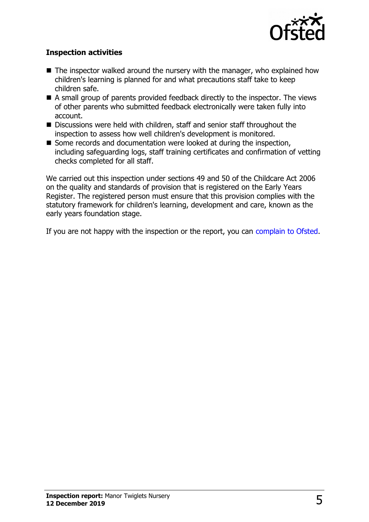

#### **Inspection activities**

- $\blacksquare$  The inspector walked around the nursery with the manager, who explained how children's learning is planned for and what precautions staff take to keep children safe.
- $\blacksquare$  A small group of parents provided feedback directly to the inspector. The views of other parents who submitted feedback electronically were taken fully into account.
- Discussions were held with children, staff and senior staff throughout the inspection to assess how well children's development is monitored.
- Some records and documentation were looked at during the inspection, including safeguarding logs, staff training certificates and confirmation of vetting checks completed for all staff.

We carried out this inspection under sections 49 and 50 of the Childcare Act 2006 on the quality and standards of provision that is registered on the Early Years Register. The registered person must ensure that this provision complies with the statutory framework for children's learning, development and care, known as the early years foundation stage.

If you are not happy with the inspection or the report, you can [complain to Ofsted.](http://www.gov.uk/complain-ofsted-report)